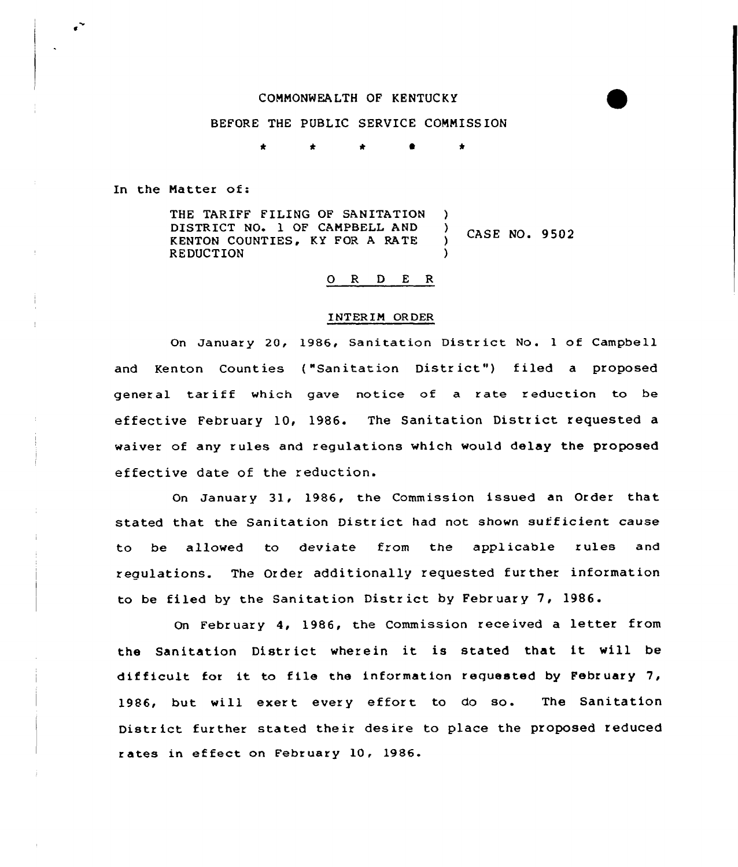## COMMONWEALTH OF KENTUCKY

## BEFORE THE PUBLIC SERVICE CONNISSION

\* \* \* <sup>0</sup> \*

In the Natter of:

THE TARIFF FILING OF SANITATION ) DISTRICT NO. 1 OF CAMPBELL AND  $\lambda$ CASE NO. 9502 KENTON COUNTIES, KY FOR A RATE  $\lambda$ REDUCTION )

## O R D E R

## INTER IM OR DER

On January 20, 1986, Sanitation District No. 1 of Campbell and Kenton Counties ("Sanitation District") filed a proposed general tariff which gave notice of a rate reduction to be effective February 10, 1986. The Sanitation District requested a waiver of any rules and regulations which would delay the proposed effective date of the reduction.

On January 31, 1986, the Commission issued an Order that stated that the Sanitation District had not shown sufficient cause to be allowed to deviate from the applicable rules and regulations. The Order additionally requested further information to be filed by the Sanitation Distr ict by February 7, 1986.

On February 4, 1986, the Commission received a letter from the Sanitation District wherein it is stated that it will be difficult for it to file the information requested by February 7, 1986, but will exert every effort to do so. The Sanitation Distr ict further stated their desire to place the proposed reduced <sup>r</sup> ates in ef feet on February 10, 1986.